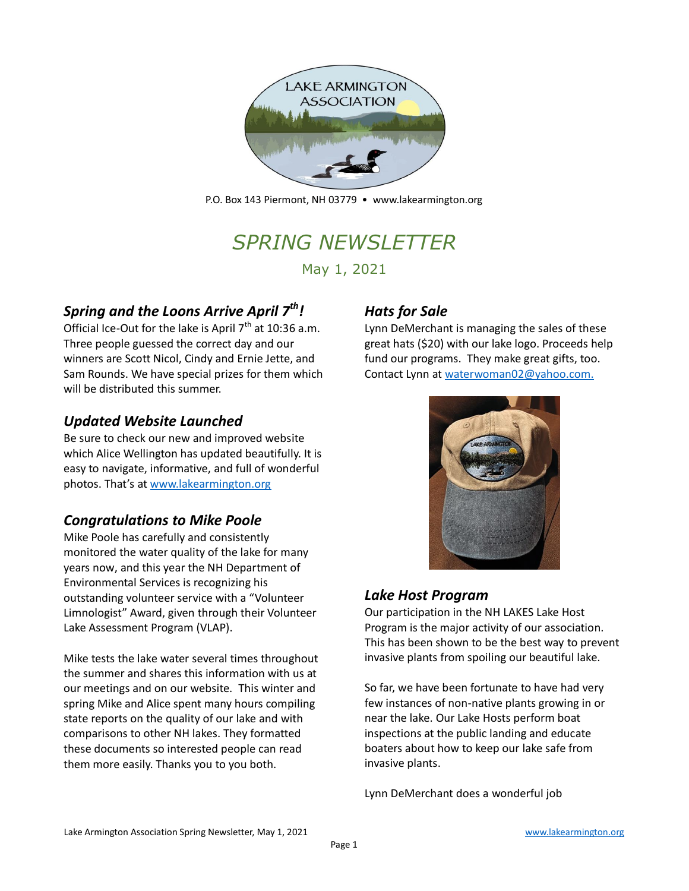

P.O. Box 143 Piermont, NH 03779 • [www.lakearmington.org](http://www.lakearmington.org/)

# *SPRING NEWSLETTER*

May 1, 2021

## *Spring and the Loons Arrive April 7th!*

Official Ice-Out for the lake is April  $7<sup>th</sup>$  at 10:36 a.m. Three people guessed the correct day and our winners are Scott Nicol, Cindy and Ernie Jette, and Sam Rounds. We have special prizes for them which will be distributed this summer.

## *Updated Website Launched*

Be sure to check our new and improved website which Alice Wellington has updated beautifully. It is easy to navigate, informative, and full of wonderful photos. That's at [www.lakearmington.org](http://www.lakearmington.org/)

## *Congratulations to Mike Poole*

Mike Poole has carefully and consistently monitored the water quality of the lake for many years now, and this year the NH Department of Environmental Services is recognizing his outstanding volunteer service with a "Volunteer Limnologist" Award, given through their Volunteer Lake Assessment Program (VLAP).

Mike tests the lake water several times throughout the summer and shares this information with us at our meetings and on our website. This winter and spring Mike and Alice spent many hours compiling state reports on the quality of our lake and with comparisons to other NH lakes. They formatted these documents so interested people can read them more easily. Thanks you to you both.

## *Hats for Sale*

Lynn DeMerchant is managing the sales of these great hats (\$20) with our lake logo. Proceeds help fund our programs. They make great gifts, too. Contact Lynn at [waterwoman02@yahoo.com.](mailto:waterwoman02@yahoo.com)



## *Lake Host Program*

Our participation in the NH LAKES Lake Host Program is the major activity of our association. This has been shown to be the best way to prevent invasive plants from spoiling our beautiful lake.

So far, we have been fortunate to have had very few instances of non-native plants growing in or near the lake. Our Lake Hosts perform boat inspections at the public landing and educate boaters about how to keep our lake safe from invasive plants.

Lynn DeMerchant does a wonderful job